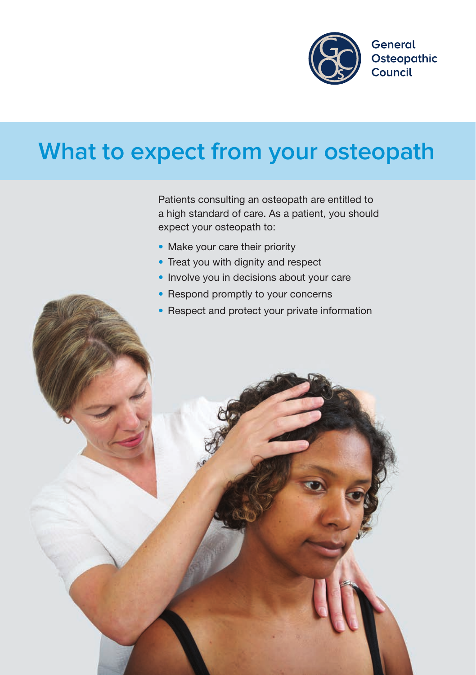

# **What to expect from your osteopath**

Patients consulting an osteopath are entitled to a high standard of care. As a patient, you should expect your osteopath to:

- Make your care their priority
- Treat you with dignity and respect
- Involve you in decisions about your care
- Respond promptly to your concerns
- Respect and protect your private information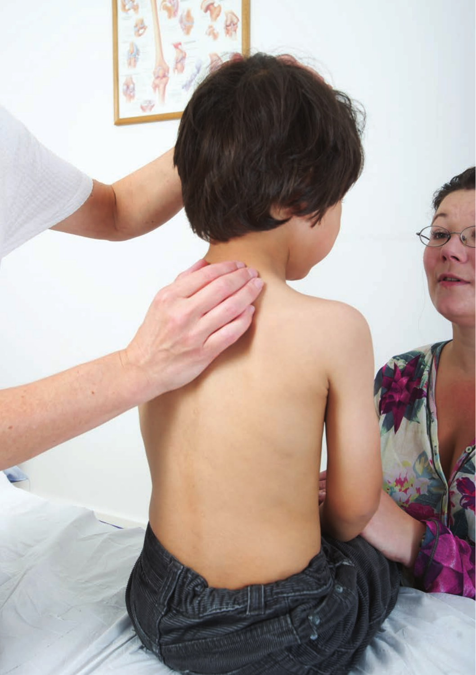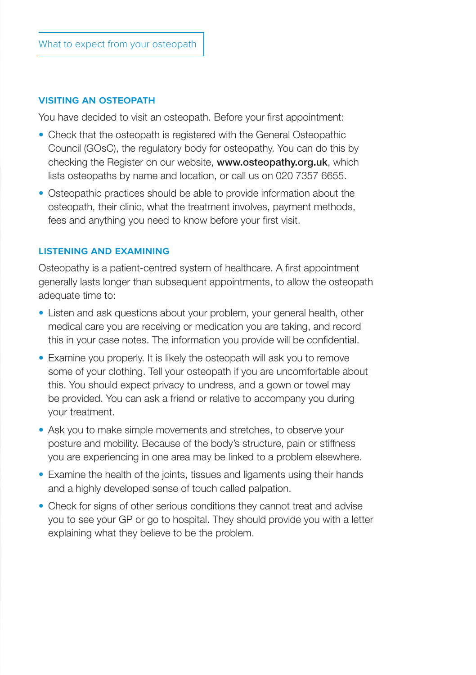#### **Visiting an osteopath**

You have decided to visit an osteopath. Before your first appointment:

- Check that the osteopath is registered with the General Osteopathic Council (GOsC), the regulatory body for osteopathy. You can do this by checking the Register on our website, www.osteopathy.org.uk, which lists osteopaths by name and location, or call us on 020 7357 6655.
- Osteopathic practices should be able to provide information about the osteopath, their clinic, what the treatment involves, payment methods, fees and anything you need to know before your first visit.

#### **Listening and examining**

Osteopathy is a patient-centred system of healthcare. A first appointment generally lasts longer than subsequent appointments, to allow the osteopath adequate time to:

- Listen and ask questions about your problem, your general health, other medical care you are receiving or medication you are taking, and record this in your case notes. The information you provide will be confidential.
- Examine you properly. It is likely the osteopath will ask you to remove some of your clothing. Tell your osteopath if you are uncomfortable about this. You should expect privacy to undress, and a gown or towel may be provided. You can ask a friend or relative to accompany you during your treatment.
- Ask you to make simple movements and stretches, to observe your posture and mobility. Because of the body's structure, pain or stiffness you are experiencing in one area may be linked to a problem elsewhere.
- Examine the health of the joints, tissues and ligaments using their hands and a highly developed sense of touch called palpation.
- Check for signs of other serious conditions they cannot treat and advise you to see your GP or go to hospital. They should provide you with a letter explaining what they believe to be the problem.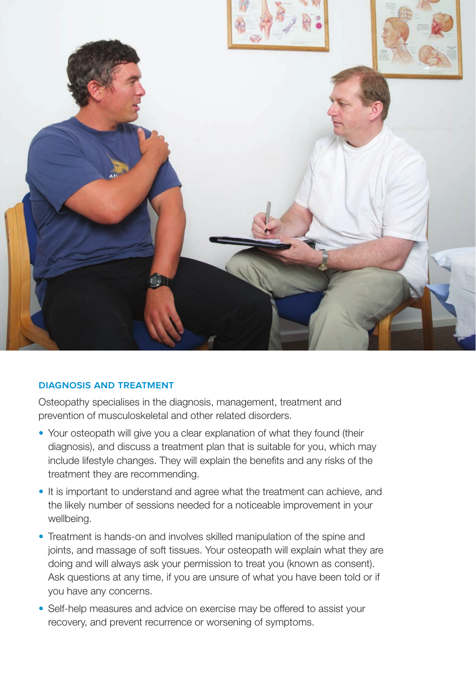

#### **Diagnosis and treatment**

Osteopathy specialises in the diagnosis, management, treatment and prevention of musculoskeletal and other related disorders.

- Your osteopath will give you a clear explanation of what they found (their diagnosis), and discuss a treatment plan that is suitable for you, which may include lifestyle changes. They will explain the benefits and any risks of the treatment they are recommending.
- It is important to understand and agree what the treatment can achieve, and the likely number of sessions needed for a noticeable improvement in your wellbeing.
- Treatment is hands-on and involves skilled manipulation of the spine and joints, and massage of soft tissues. Your osteopath will explain what they are doing and will always ask your permission to treat you (known as consent). Ask questions at any time, if you are unsure of what you have been told or if you have any concerns.
- Self-help measures and advice on exercise may be offered to assist your recovery, and prevent recurrence or worsening of symptoms.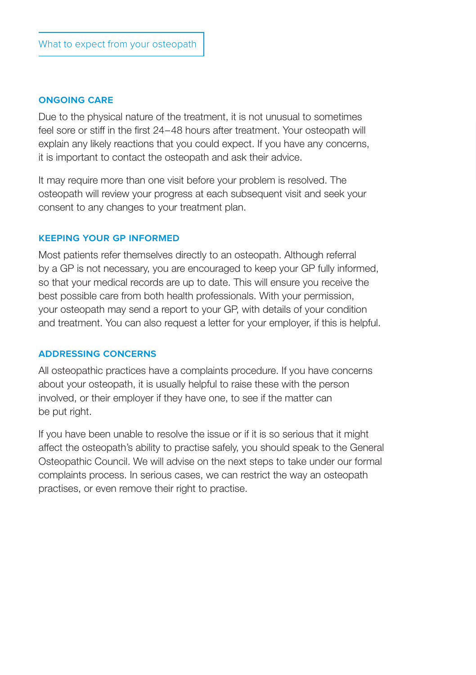#### **Ongoing care**

Due to the physical nature of the treatment, it is not unusual to sometimes feel sore or stiff in the first 24–48 hours after treatment. Your osteopath will explain any likely reactions that you could expect. If you have any concerns, it is important to contact the osteopath and ask their advice.

It may require more than one visit before your problem is resolved. The osteopath will review your progress at each subsequent visit and seek your consent to any changes to your treatment plan.

#### **Keeping your GP informed**

Most patients refer themselves directly to an osteopath. Although referral by a GP is not necessary, you are encouraged to keep your GP fully informed, so that your medical records are up to date. This will ensure you receive the best possible care from both health professionals. With your permission, your osteopath may send a report to your GP, with details of your condition and treatment. You can also request a letter for your employer, if this is helpful.

#### **Addressing concerns**

All osteopathic practices have a complaints procedure. If you have concerns about your osteopath, it is usually helpful to raise these with the person involved, or their employer if they have one, to see if the matter can be put right.

If you have been unable to resolve the issue or if it is so serious that it might affect the osteopath's ability to practise safely, you should speak to the General Osteopathic Council. We will advise on the next steps to take under our formal complaints process. In serious cases, we can restrict the way an osteopath practises, or even remove their right to practise.